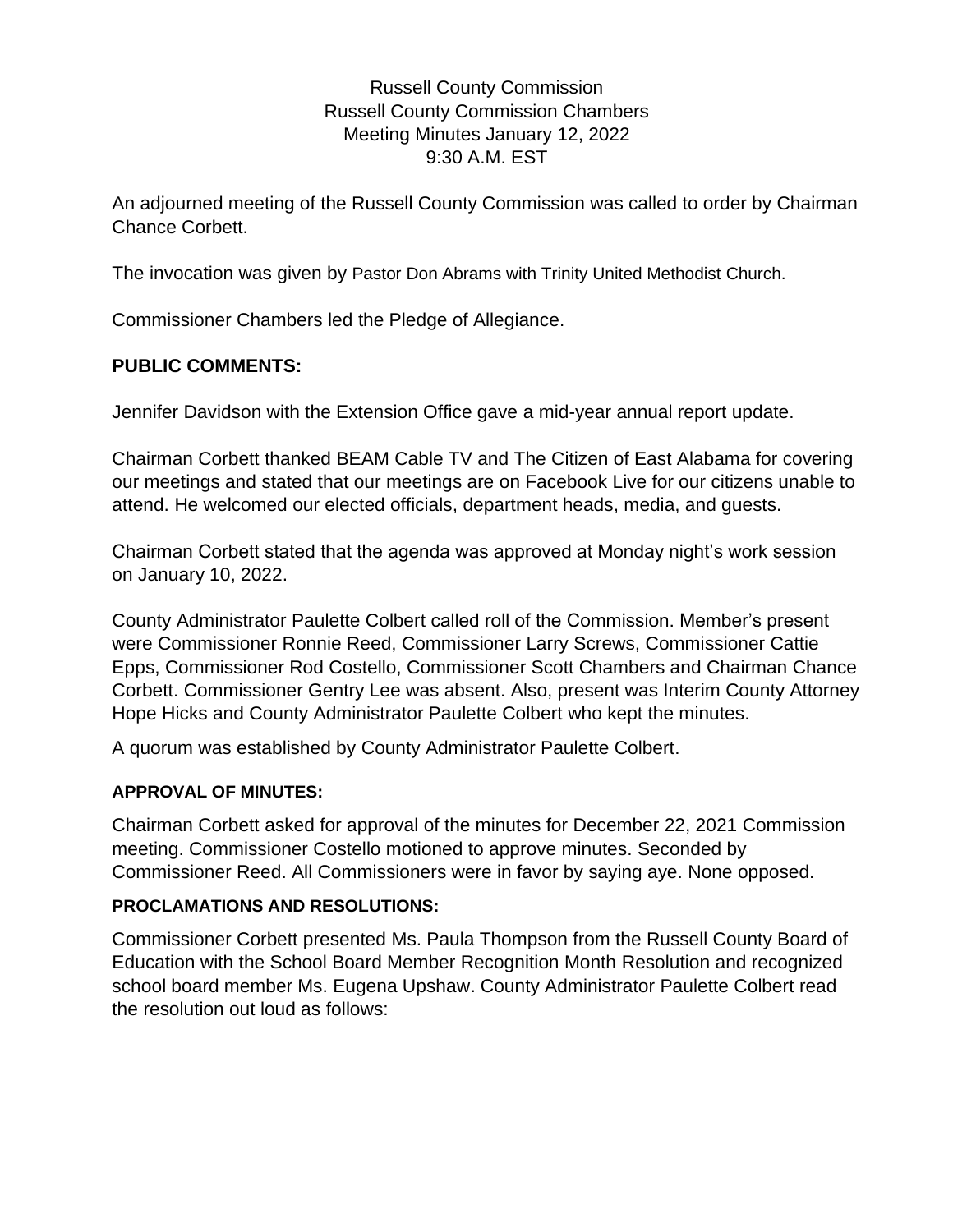# Russell County Commission Russell County Commission Chambers Meeting Minutes January 12, 2022 9:30 A.M. EST

An adjourned meeting of the Russell County Commission was called to order by Chairman Chance Corbett.

The invocation was given by Pastor Don Abrams with Trinity United Methodist Church.

Commissioner Chambers led the Pledge of Allegiance.

# **PUBLIC COMMENTS:**

Jennifer Davidson with the Extension Office gave a mid-year annual report update.

Chairman Corbett thanked BEAM Cable TV and The Citizen of East Alabama for covering our meetings and stated that our meetings are on Facebook Live for our citizens unable to attend. He welcomed our elected officials, department heads, media, and guests.

Chairman Corbett stated that the agenda was approved at Monday night's work session on January 10, 2022.

County Administrator Paulette Colbert called roll of the Commission. Member's present were Commissioner Ronnie Reed, Commissioner Larry Screws, Commissioner Cattie Epps, Commissioner Rod Costello, Commissioner Scott Chambers and Chairman Chance Corbett. Commissioner Gentry Lee was absent. Also, present was Interim County Attorney Hope Hicks and County Administrator Paulette Colbert who kept the minutes.

A quorum was established by County Administrator Paulette Colbert.

## **APPROVAL OF MINUTES:**

Chairman Corbett asked for approval of the minutes for December 22, 2021 Commission meeting. Commissioner Costello motioned to approve minutes. Seconded by Commissioner Reed. All Commissioners were in favor by saying aye. None opposed.

## **PROCLAMATIONS AND RESOLUTIONS:**

Commissioner Corbett presented Ms. Paula Thompson from the Russell County Board of Education with the School Board Member Recognition Month Resolution and recognized school board member Ms. Eugena Upshaw. County Administrator Paulette Colbert read the resolution out loud as follows: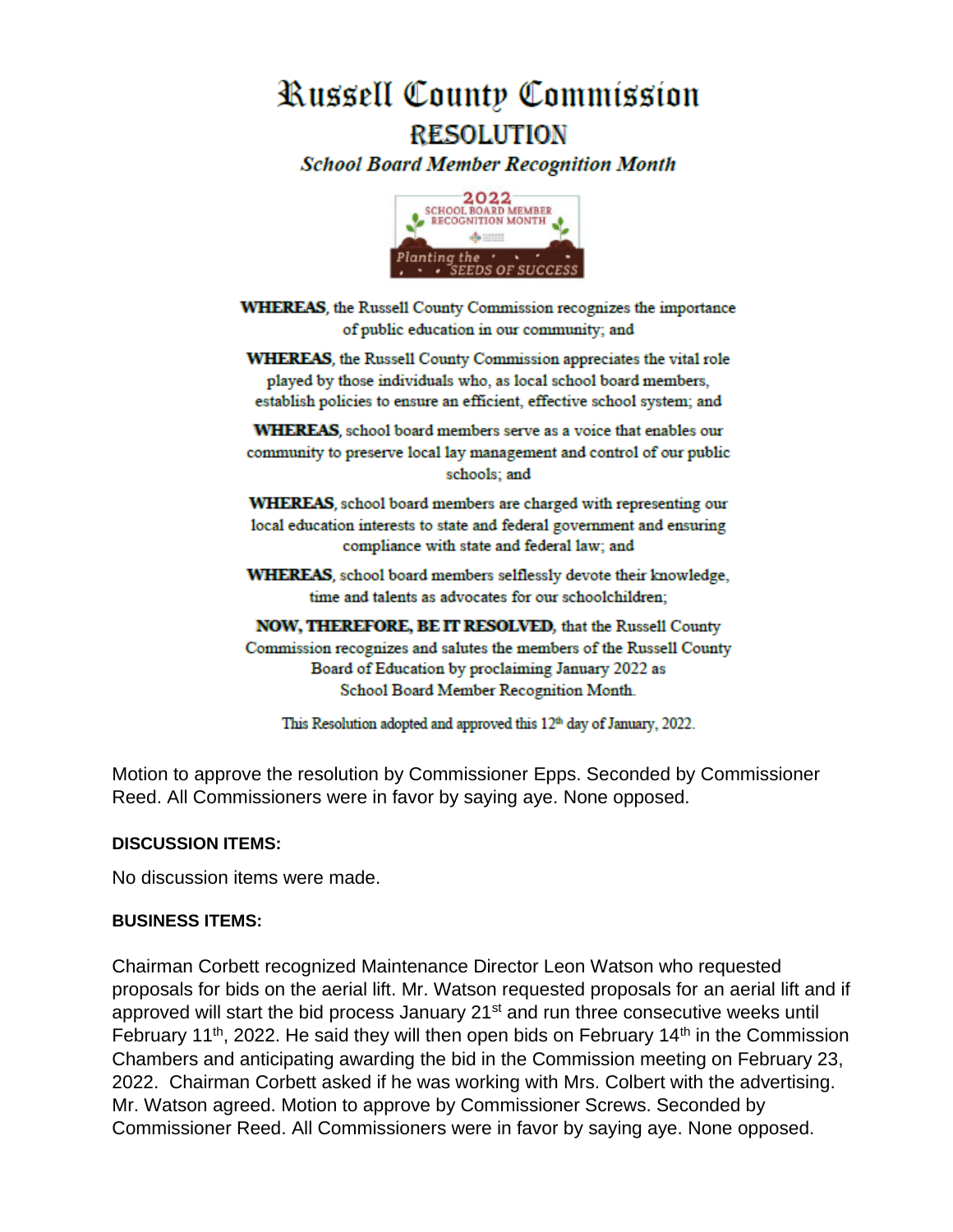# Russell County Commission **RESOLUTION**

**School Board Member Recognition Month** 



**WHEREAS**, the Russell County Commission recognizes the importance of public education in our community; and

**WHEREAS**, the Russell County Commission appreciates the vital role played by those individuals who, as local school board members, establish policies to ensure an efficient, effective school system; and

**WHEREAS**, school board members serve as a voice that enables our community to preserve local lay management and control of our public schools; and

WHEREAS, school board members are charged with representing our local education interests to state and federal government and ensuring compliance with state and federal law; and

WHEREAS, school board members selflessly devote their knowledge, time and talents as advocates for our schoolchildren;

NOW, THEREFORE, BE IT RESOLVED, that the Russell County Commission recognizes and salutes the members of the Russell County Board of Education by proclaiming January 2022 as School Board Member Recognition Month.

This Resolution adopted and approved this 12<sup>th</sup> day of January, 2022.

Motion to approve the resolution by Commissioner Epps. Seconded by Commissioner Reed. All Commissioners were in favor by saying aye. None opposed.

#### **DISCUSSION ITEMS:**

No discussion items were made.

#### **BUSINESS ITEMS:**

Chairman Corbett recognized Maintenance Director Leon Watson who requested proposals for bids on the aerial lift. Mr. Watson requested proposals for an aerial lift and if approved will start the bid process January 21<sup>st</sup> and run three consecutive weeks until February 11<sup>th</sup>, 2022. He said they will then open bids on February 14<sup>th</sup> in the Commission Chambers and anticipating awarding the bid in the Commission meeting on February 23, 2022. Chairman Corbett asked if he was working with Mrs. Colbert with the advertising. Mr. Watson agreed. Motion to approve by Commissioner Screws. Seconded by Commissioner Reed. All Commissioners were in favor by saying aye. None opposed.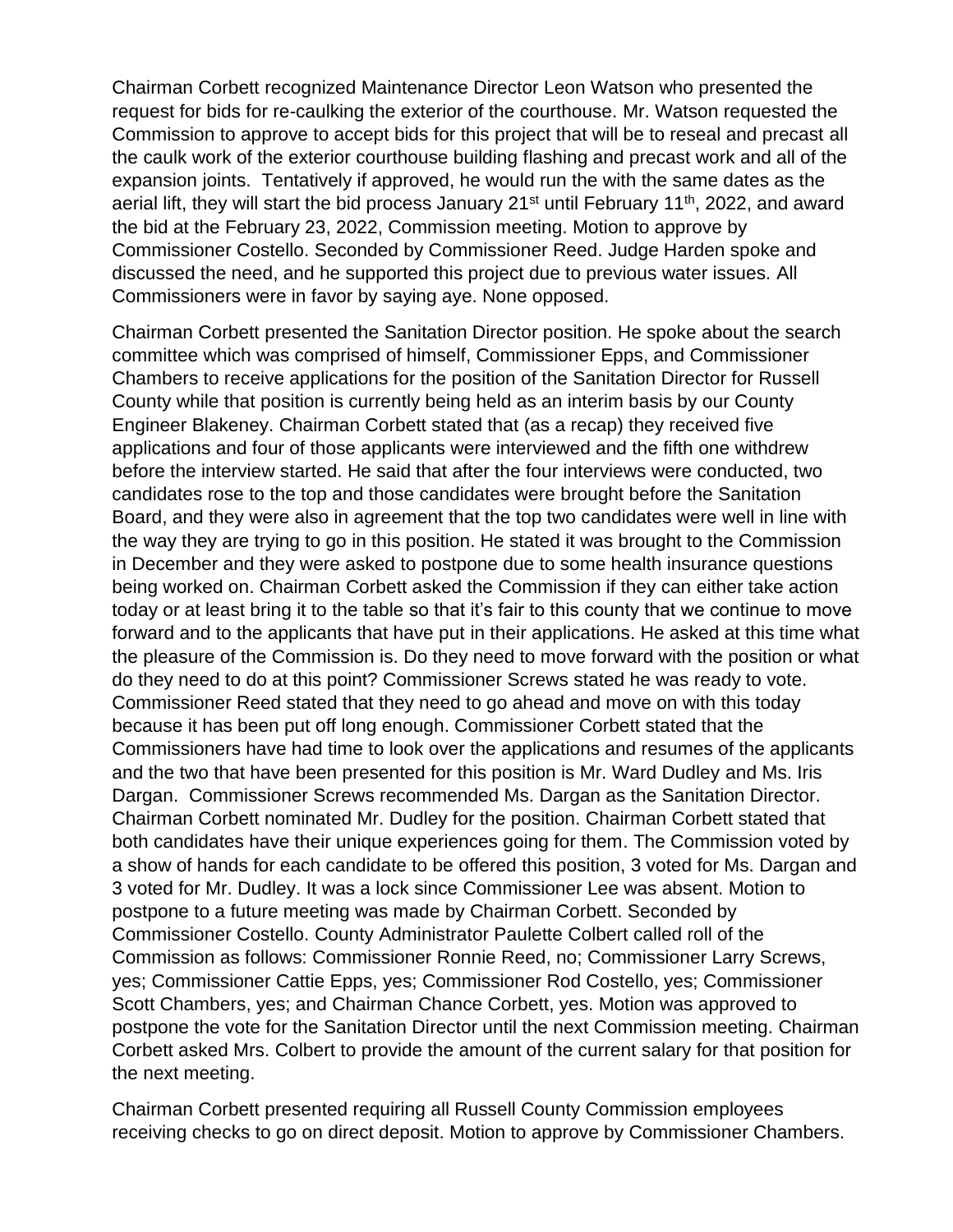Chairman Corbett recognized Maintenance Director Leon Watson who presented the request for bids for re-caulking the exterior of the courthouse. Mr. Watson requested the Commission to approve to accept bids for this project that will be to reseal and precast all the caulk work of the exterior courthouse building flashing and precast work and all of the expansion joints. Tentatively if approved, he would run the with the same dates as the aerial lift, they will start the bid process January 21<sup>st</sup> until February 11<sup>th</sup>, 2022, and award the bid at the February 23, 2022, Commission meeting. Motion to approve by Commissioner Costello. Seconded by Commissioner Reed. Judge Harden spoke and discussed the need, and he supported this project due to previous water issues. All Commissioners were in favor by saying aye. None opposed.

Chairman Corbett presented the Sanitation Director position. He spoke about the search committee which was comprised of himself, Commissioner Epps, and Commissioner Chambers to receive applications for the position of the Sanitation Director for Russell County while that position is currently being held as an interim basis by our County Engineer Blakeney. Chairman Corbett stated that (as a recap) they received five applications and four of those applicants were interviewed and the fifth one withdrew before the interview started. He said that after the four interviews were conducted, two candidates rose to the top and those candidates were brought before the Sanitation Board, and they were also in agreement that the top two candidates were well in line with the way they are trying to go in this position. He stated it was brought to the Commission in December and they were asked to postpone due to some health insurance questions being worked on. Chairman Corbett asked the Commission if they can either take action today or at least bring it to the table so that it's fair to this county that we continue to move forward and to the applicants that have put in their applications. He asked at this time what the pleasure of the Commission is. Do they need to move forward with the position or what do they need to do at this point? Commissioner Screws stated he was ready to vote. Commissioner Reed stated that they need to go ahead and move on with this today because it has been put off long enough. Commissioner Corbett stated that the Commissioners have had time to look over the applications and resumes of the applicants and the two that have been presented for this position is Mr. Ward Dudley and Ms. Iris Dargan. Commissioner Screws recommended Ms. Dargan as the Sanitation Director. Chairman Corbett nominated Mr. Dudley for the position. Chairman Corbett stated that both candidates have their unique experiences going for them. The Commission voted by a show of hands for each candidate to be offered this position, 3 voted for Ms. Dargan and 3 voted for Mr. Dudley. It was a lock since Commissioner Lee was absent. Motion to postpone to a future meeting was made by Chairman Corbett. Seconded by Commissioner Costello. County Administrator Paulette Colbert called roll of the Commission as follows: Commissioner Ronnie Reed, no; Commissioner Larry Screws, yes; Commissioner Cattie Epps, yes; Commissioner Rod Costello, yes; Commissioner Scott Chambers, yes; and Chairman Chance Corbett, yes. Motion was approved to postpone the vote for the Sanitation Director until the next Commission meeting. Chairman Corbett asked Mrs. Colbert to provide the amount of the current salary for that position for the next meeting.

Chairman Corbett presented requiring all Russell County Commission employees receiving checks to go on direct deposit. Motion to approve by Commissioner Chambers.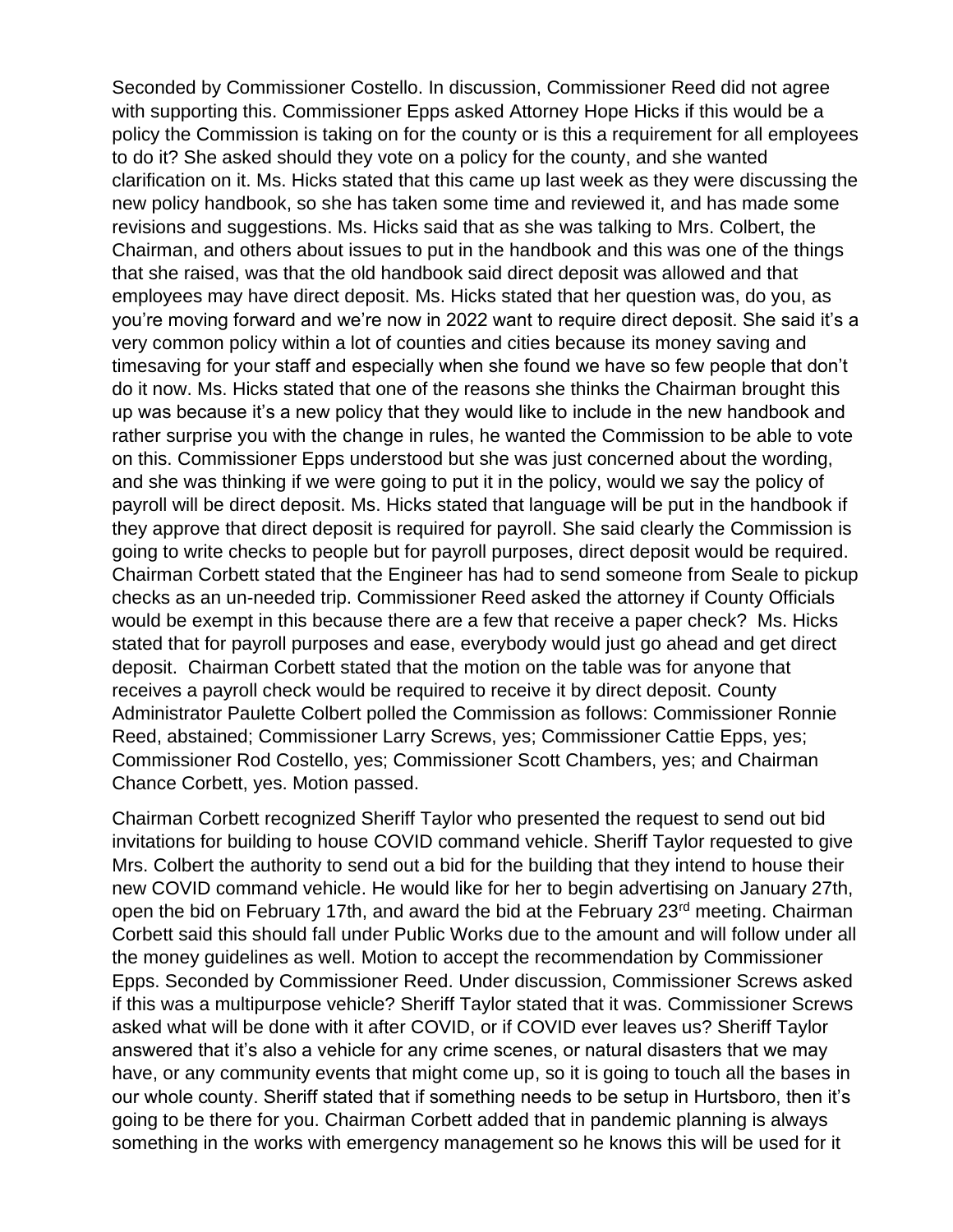Seconded by Commissioner Costello. In discussion, Commissioner Reed did not agree with supporting this. Commissioner Epps asked Attorney Hope Hicks if this would be a policy the Commission is taking on for the county or is this a requirement for all employees to do it? She asked should they vote on a policy for the county, and she wanted clarification on it. Ms. Hicks stated that this came up last week as they were discussing the new policy handbook, so she has taken some time and reviewed it, and has made some revisions and suggestions. Ms. Hicks said that as she was talking to Mrs. Colbert, the Chairman, and others about issues to put in the handbook and this was one of the things that she raised, was that the old handbook said direct deposit was allowed and that employees may have direct deposit. Ms. Hicks stated that her question was, do you, as you're moving forward and we're now in 2022 want to require direct deposit. She said it's a very common policy within a lot of counties and cities because its money saving and timesaving for your staff and especially when she found we have so few people that don't do it now. Ms. Hicks stated that one of the reasons she thinks the Chairman brought this up was because it's a new policy that they would like to include in the new handbook and rather surprise you with the change in rules, he wanted the Commission to be able to vote on this. Commissioner Epps understood but she was just concerned about the wording, and she was thinking if we were going to put it in the policy, would we say the policy of payroll will be direct deposit. Ms. Hicks stated that language will be put in the handbook if they approve that direct deposit is required for payroll. She said clearly the Commission is going to write checks to people but for payroll purposes, direct deposit would be required. Chairman Corbett stated that the Engineer has had to send someone from Seale to pickup checks as an un-needed trip. Commissioner Reed asked the attorney if County Officials would be exempt in this because there are a few that receive a paper check? Ms. Hicks stated that for payroll purposes and ease, everybody would just go ahead and get direct deposit. Chairman Corbett stated that the motion on the table was for anyone that receives a payroll check would be required to receive it by direct deposit. County Administrator Paulette Colbert polled the Commission as follows: Commissioner Ronnie Reed, abstained; Commissioner Larry Screws, yes; Commissioner Cattie Epps, yes; Commissioner Rod Costello, yes; Commissioner Scott Chambers, yes; and Chairman Chance Corbett, yes. Motion passed.

Chairman Corbett recognized Sheriff Taylor who presented the request to send out bid invitations for building to house COVID command vehicle. Sheriff Taylor requested to give Mrs. Colbert the authority to send out a bid for the building that they intend to house their new COVID command vehicle. He would like for her to begin advertising on January 27th, open the bid on February 17th, and award the bid at the February 23<sup>rd</sup> meeting. Chairman Corbett said this should fall under Public Works due to the amount and will follow under all the money guidelines as well. Motion to accept the recommendation by Commissioner Epps. Seconded by Commissioner Reed. Under discussion, Commissioner Screws asked if this was a multipurpose vehicle? Sheriff Taylor stated that it was. Commissioner Screws asked what will be done with it after COVID, or if COVID ever leaves us? Sheriff Taylor answered that it's also a vehicle for any crime scenes, or natural disasters that we may have, or any community events that might come up, so it is going to touch all the bases in our whole county. Sheriff stated that if something needs to be setup in Hurtsboro, then it's going to be there for you. Chairman Corbett added that in pandemic planning is always something in the works with emergency management so he knows this will be used for it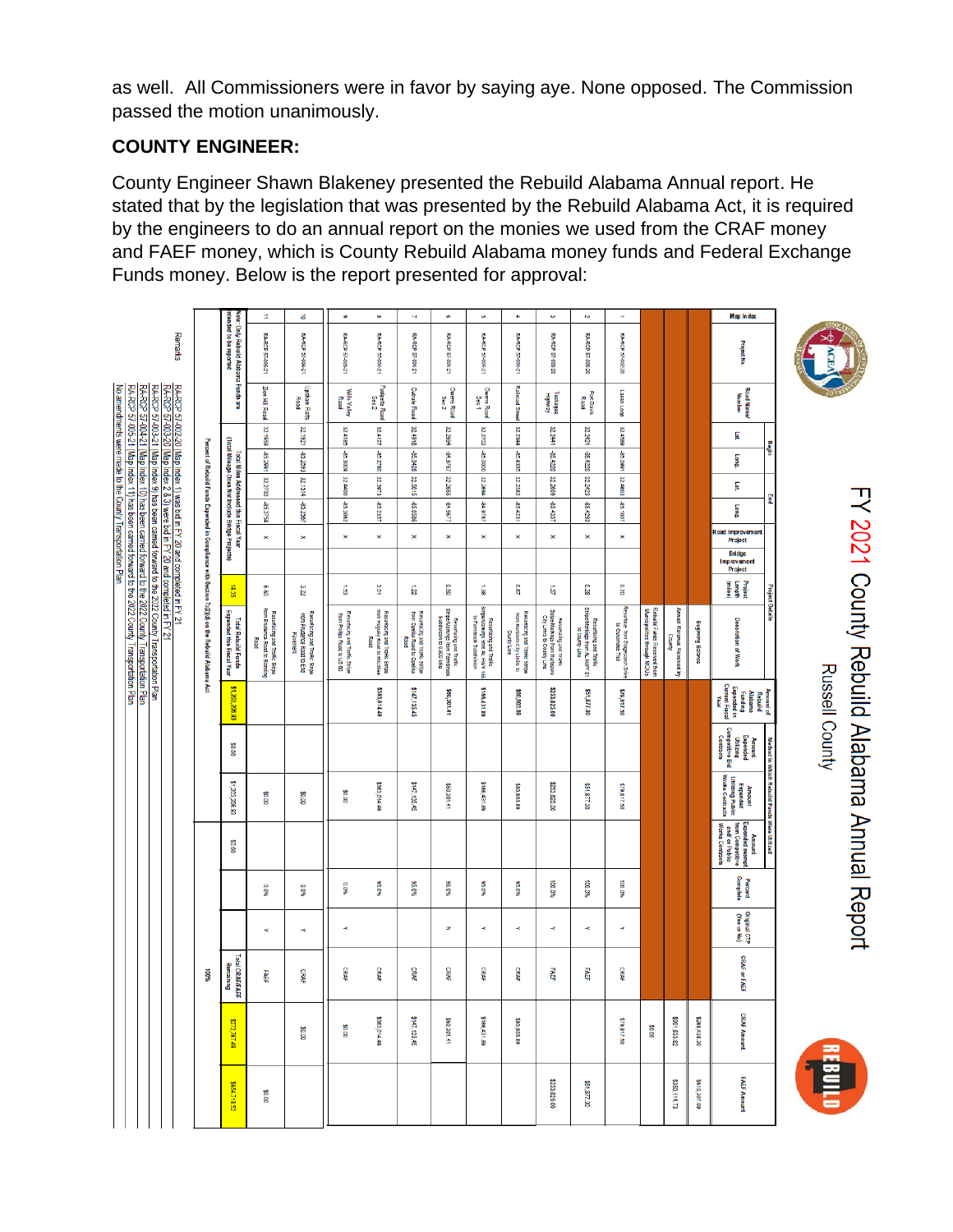as well. All Commissioners were in favor by saying aye. None opposed. The Commission passed the motion unanimously.

# **COUNTY ENGINEER:**

County Engineer Shawn Blakeney presented the Rebuild Alabama Annual report. He stated that by the legislation that was presented by the Rebuild Alabama Act, it is required by the engineers to do an annual report on the monies we used from the CRAF money and FAEF money, which is County Rebuild Alabama money funds and Federal Exchange Funds money. Below is the report presented for approval:

|                                                                                                                                                                                                                                                                                                      |                                                                                                  |                                                                                            | ÷,                                                                       | ᇹ                                                                       | G.                                                          | $\infty$                                                                 | $\sim$                                                               | o,                                                                                   | $\mathbf{c}_1$                                                                        | ÷.                                                                            | $\pmb{\omega}$                                                                          | $\sim$                                                                                    | ÷                                                    |                                                            |                                                          |                   | Map Index                                                                                 |                                             |                                              |
|------------------------------------------------------------------------------------------------------------------------------------------------------------------------------------------------------------------------------------------------------------------------------------------------------|--------------------------------------------------------------------------------------------------|--------------------------------------------------------------------------------------------|--------------------------------------------------------------------------|-------------------------------------------------------------------------|-------------------------------------------------------------|--------------------------------------------------------------------------|----------------------------------------------------------------------|--------------------------------------------------------------------------------------|---------------------------------------------------------------------------------------|-------------------------------------------------------------------------------|-----------------------------------------------------------------------------------------|-------------------------------------------------------------------------------------------|------------------------------------------------------|------------------------------------------------------------|----------------------------------------------------------|-------------------|-------------------------------------------------------------------------------------------|---------------------------------------------|----------------------------------------------|
| Remarks                                                                                                                                                                                                                                                                                              |                                                                                                  | ntended to be reported<br>Vote: Only Rebuild Alabama Funds are                             | RA-RCP 57-005-21                                                         | <b>FA-RCP 57-004-21</b>                                                 | <b>RA-RCP 57-003-21</b>                                     | RA-RCP 57-001-21                                                         | <b>RA-RCP 57-001-21</b>                                              | RA-RCP 57-001-21                                                                     | RA-RCP 57-001-21                                                                      | RA-RCP 57-001-21                                                              | <b>RA-RCP</b><br>57-000-20                                                              | RA-RCP 57-003-20                                                                          | <b>RA-RCP 57-002-20</b>                              |                                                            |                                                          |                   | <b>Project No.</b>                                                                        |                                             | <b>ACEA</b>                                  |
| No amendments were made to the County Transportation Plan.<br>RA-RCP 57-002-20 (Map Index 1) was bid in FY 20 and completed in FY 21<br>RA-RCP 57-003-20 (Map Index 2 & 3) were bid in FY 20 and completed in FY 21                                                                                  |                                                                                                  |                                                                                            | Zion Hill Road                                                           | Upshaw Flatts<br>Road                                                   | Wills Valley<br>Road                                        | Padgetts Road<br>Sec 2                                                   | <b>Cutrate Road</b>                                                  | Owens Road<br>Sec 2                                                                  | Owers Road<br>Sec 1                                                                   | <b>Railroad Street</b>                                                        | Tuskegee<br>Highway                                                                     | Fort Davis<br>Road                                                                        | Lasse Loop                                           |                                                            |                                                          |                   | Road Name/<br>Number                                                                      |                                             |                                              |
|                                                                                                                                                                                                                                                                                                      |                                                                                                  |                                                                                            | <b>S</b><br>598                                                          | 35<br>1821                                                              | 32.4185                                                     | 32.4127                                                                  | 32.4918                                                              | 32.2694                                                                              | 32.2702                                                                               | 32.2344                                                                       | 32.2441                                                                                 | 32.2421                                                                                   | 32,4589                                              |                                                            |                                                          |                   | F                                                                                         |                                             |                                              |
|                                                                                                                                                                                                                                                                                                      |                                                                                                  |                                                                                            | -85.2991                                                                 | -85.2593                                                                | -85.3009                                                    | -85.2780                                                                 | 8260.88                                                              | -84.9767                                                                             | -85.0000                                                                              | -85.4335                                                                      | -85.4220                                                                                | -85.4220                                                                                  | -85.0991                                             |                                                            |                                                          |                   | Long.                                                                                     | Begin                                       |                                              |
|                                                                                                                                                                                                                                                                                                      |                                                                                                  |                                                                                            | 32.2700                                                                  | 32.1514                                                                 | 32.4400                                                     | 32.3973                                                                  | 32.5015                                                              | 32.2655                                                                              | 32.2694                                                                               | 32.2382                                                                       | 32.2609                                                                                 | 32.2423                                                                                   | 32.4603                                              |                                                            |                                                          |                   | E                                                                                         |                                             |                                              |
|                                                                                                                                                                                                                                                                                                      |                                                                                                  | (Total Mileage Does Not Include Bridge Projects)<br>Total Miles Addressed this Fiscal Year | 45.2754                                                                  | 85.2567                                                                 | -85.3062                                                    | -85.2357                                                                 | -85.0586                                                             | 1/96'18                                                                              | 1916.48                                                                               | -85.4231                                                                      | -85.4337                                                                                | 85.4293                                                                                   | -85.1007                                             |                                                            |                                                          |                   | <b>Suo</b>                                                                                | g                                           |                                              |
|                                                                                                                                                                                                                                                                                                      |                                                                                                  |                                                                                            | $\Join$                                                                  | ×                                                                       | ×                                                           | $\pmb{\times}$                                                           | $\pmb{\times}$                                                       | $\pmb{\times}$                                                                       | $\pmb{\times}$                                                                        | ×                                                                             | $\pmb{\times}$                                                                          | $\pmb{\times}$                                                                            | ×                                                    |                                                            |                                                          |                   | Road Improvement<br>Project                                                               |                                             |                                              |
|                                                                                                                                                                                                                                                                                                      |                                                                                                  |                                                                                            |                                                                          |                                                                         |                                                             |                                                                          |                                                                      |                                                                                      |                                                                                       |                                                                               |                                                                                         |                                                                                           |                                                      |                                                            |                                                          |                   | <b>Bridge</b><br>Improvement<br>Project                                                   |                                             |                                              |
|                                                                                                                                                                                                                                                                                                      |                                                                                                  | 4.35                                                                                       | ទី                                                                       | ĩη                                                                      | ធ្ល                                                         | 3.OT                                                                     | ā                                                                    | 0.50                                                                                 | 1,38                                                                                  | <b>D.67</b>                                                                   | E,                                                                                      | 0.28                                                                                      | 07.0                                                 |                                                            |                                                          |                   | Project<br>Length<br>(miles)                                                              | <b>Project Details</b>                      |                                              |
| RA-RCP 57-005-21 (Map Index 11) has been carried forward to the 2022 County Transportation Plan<br>RA-RCP 57-004-21 (Map Index 10) has been carried forward to the 2022 County Transportation Plan<br>RA-RCP 57-003-21 (Map Index 9) has been carried forward to the 2022 County Transportation Plan | Percent of Rebuild Funds Expended in Compliance with Section 7c(2)(d) on the Rebuild Alabama Act | Expended this Fiscal Year<br><b>Total Rebuild Funds</b>                                    | Resurtacing and Traffic Stripe<br>from Prudence Road to Blanding<br>Road | Resuriacing and Traffic Stripe<br>from Prudence Road to End<br>Pavement | Resurtacing and Tra#ic Stripe<br>from Philips Road to US 80 | Resurtacing and Traffic Stripe<br>from Huguley Road to Hitchitee<br>Road | Resurtacing and Traffic Stripe<br>from Opeika Road to Opeika<br>Raod | Resurtacing and Traffic<br>StripeMarkings from Farmbrook<br>Suodivision to 0.500 Mie | Resurtaing and Traffic<br>StripeNlantings from AL HWY 165<br>to Farmbrook Subdivision | Resurtacing and Traffic Stripe<br>from Hursboro City Limits to<br>County Line | Resurtacing and Traffic<br>StriperMarkings from Hurtsboro<br>City Limits to County Line | StripeMatkings from AL HWY S1<br>StripeMatkings from AL HWY S1<br>Resurtacing and Traffic | Resurtace from Stagecoach Drive<br>to Gunsmoke Trail | Rebuild Funds Received from<br>Municipalities through MOUs | Annual Revenue Received by<br>Annual Revenue Received by | Beginning Balance | <b>Description of Work</b>                                                                |                                             | FY 2021 County Rebuild Alabama Annual Report |
|                                                                                                                                                                                                                                                                                                      |                                                                                                  | \$1,203,206.93                                                                             |                                                                          |                                                                         |                                                             | \$363,014.49                                                             | \$147,135.45                                                         | \$60,301.41                                                                          | \$166,431.89                                                                          | \$80,803.89                                                                   | \$253,825.00                                                                            | \$51,877.30                                                                               | \$79,817.50                                          |                                                            |                                                          |                   | Current Fiscal<br>Year<br>Funding<br>Expended in<br>Rebuild<br>Alabama                    | Amount of                                   | Russell County                               |
|                                                                                                                                                                                                                                                                                                      |                                                                                                  | 80.00                                                                                      |                                                                          |                                                                         |                                                             |                                                                          |                                                                      |                                                                                      |                                                                                       |                                                                               |                                                                                         |                                                                                           |                                                      |                                                            |                                                          |                   | Amount<br>Expended<br>Competitive Bid<br>Contracts                                        |                                             |                                              |
|                                                                                                                                                                                                                                                                                                      |                                                                                                  | \$1,203,206.93                                                                             | 80.00                                                                    | 00°0\$                                                                  | 00108                                                       | \$363,014.49                                                             | \$147,135.45                                                         | 14.105,006                                                                           | \$166,431.89                                                                          | 68.808,89                                                                     | \$253,825.00                                                                            | 06.77.30                                                                                  | 05'218'62'                                           |                                                            |                                                          |                   | <b>Utilizing Public<br/>Works Contracts</b><br>Amount<br>Expended                         | Method in Which Rebuild Funds Were Utilized |                                              |
|                                                                                                                                                                                                                                                                                                      |                                                                                                  | 80.00                                                                                      |                                                                          |                                                                         |                                                             |                                                                          |                                                                      |                                                                                      |                                                                                       |                                                                               |                                                                                         |                                                                                           |                                                      |                                                            |                                                          |                   | <b>Works Contracts</b><br>Expended exempt<br>from Competitive<br>and/ or Public<br>Amount |                                             |                                              |
|                                                                                                                                                                                                                                                                                                      |                                                                                                  |                                                                                            | 0.0%                                                                     | 0.0%                                                                    | <b>0.0%</b>                                                 | 95.0%                                                                    | 95.0%                                                                | 95.0%                                                                                | 95.0%                                                                                 | 96.0%                                                                         | %0'00                                                                                   | 960'001                                                                                   | %0'001                                               |                                                            |                                                          |                   | Complete<br>Percent                                                                       |                                             |                                              |
|                                                                                                                                                                                                                                                                                                      |                                                                                                  |                                                                                            | $\prec$                                                                  | $\prec$                                                                 | ×                                                           |                                                                          |                                                                      | z                                                                                    | $\prec$                                                                               | ×                                                                             | ×                                                                                       | $\prec$                                                                                   | ≺                                                    |                                                            |                                                          |                   | Original CTP<br>(Yes or No)                                                               |                                             |                                              |
|                                                                                                                                                                                                                                                                                                      | \$00#                                                                                            | Total CRAFIFAEF<br>Remaining                                                               | FABR.                                                                    | <b>CRAF</b>                                                             | CRAF                                                        | CRAF                                                                     | CRAF                                                                 | CRAF                                                                                 | CRAF                                                                                  | CRAF                                                                          | <b>FAEF</b>                                                                             | 晶                                                                                         | CRAF                                                 |                                                            |                                                          |                   | <b>CRAF or FAEF</b>                                                                       |                                             |                                              |
|                                                                                                                                                                                                                                                                                                      |                                                                                                  | \$272,767.49                                                                               |                                                                          | 00 08                                                                   | 00'0\$                                                      | \$363,014.49                                                             | \$147,135.45                                                         | \$60,301.41                                                                          | \$166,431.89                                                                          | \$80,803.89                                                                   |                                                                                         |                                                                                           | \$79,817.50                                          | \$0.00                                                     | \$901,833.82                                             | \$268,438.30      | <b>CRAF Amount</b>                                                                        |                                             |                                              |
|                                                                                                                                                                                                                                                                                                      |                                                                                                  | \$654,718.52                                                                               | <b>SO.00</b>                                                             |                                                                         |                                                             |                                                                          |                                                                      |                                                                                      |                                                                                       |                                                                               | \$253,826.00                                                                            | \$51,877.30                                                                               |                                                      |                                                            | \$350,114.73                                             | \$610,307.09      | <b>FAEF Amount</b>                                                                        |                                             |                                              |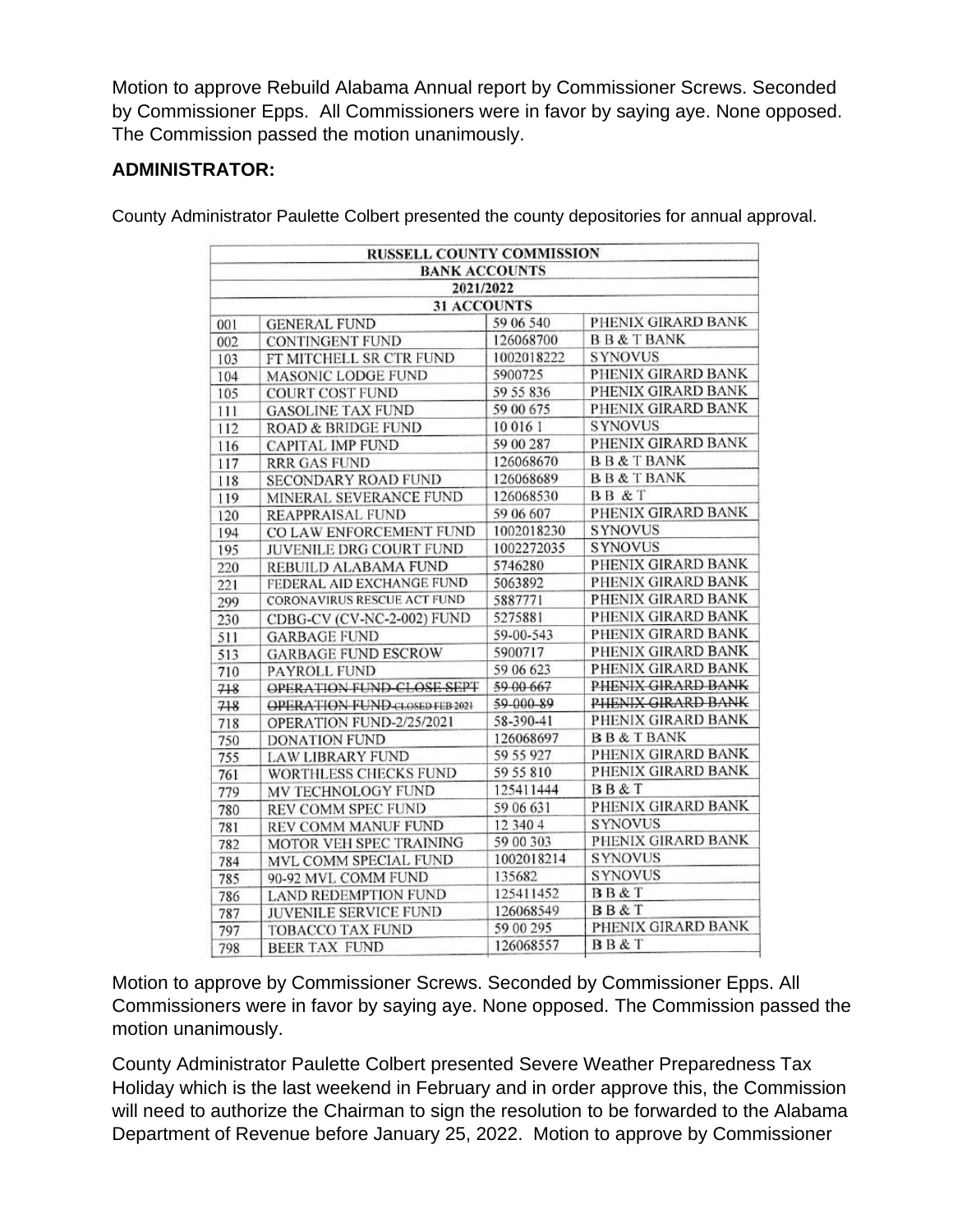Motion to approve Rebuild Alabama Annual report by Commissioner Screws. Seconded by Commissioner Epps. All Commissioners were in favor by saying aye. None opposed. The Commission passed the motion unanimously.

# **ADMINISTRATOR:**

County Administrator Paulette Colbert presented the county depositories for annual approval.

|                    | <b>RUSSELL COUNTY COMMISSION</b>      |            |                     |  |  |  |  |  |
|--------------------|---------------------------------------|------------|---------------------|--|--|--|--|--|
|                    | <b>BANK ACCOUNTS</b>                  |            |                     |  |  |  |  |  |
|                    | 2021/2022                             |            |                     |  |  |  |  |  |
| <b>31 ACCOUNTS</b> |                                       |            |                     |  |  |  |  |  |
| 001                | <b>GENERAL FUND</b>                   | 59 06 540  | PHENIX GIRARD BANK  |  |  |  |  |  |
| 002                | <b>CONTINGENT FUND</b>                | 126068700  | <b>BB&amp;TBANK</b> |  |  |  |  |  |
| 103                | FT MITCHELL SR CTR FUND               | 1002018222 | <b>SYNOVUS</b>      |  |  |  |  |  |
| 104                | <b>MASONIC LODGE FUND</b>             | 5900725    | PHENIX GIRARD BANK  |  |  |  |  |  |
| 105                | <b>COURT COST FUND</b>                | 59 55 836  | PHENIX GIRARD BANK  |  |  |  |  |  |
| 111                | <b>GASOLINE TAX FUND</b>              | 59 00 675  | PHENIX GIRARD BANK  |  |  |  |  |  |
| 112                | ROAD & BRIDGE FUND                    | 10 016 1   | <b>SYNOVUS</b>      |  |  |  |  |  |
| 116                | CAPITAL IMP FUND                      | 59 00 287  | PHENIX GIRARD BANK  |  |  |  |  |  |
| 117                | <b>RRR GAS FUND</b>                   | 126068670  | <b>BB&amp;TBANK</b> |  |  |  |  |  |
| 118                | SECONDARY ROAD FUND                   | 126068689  | <b>BB&amp;TBANK</b> |  |  |  |  |  |
| 119                | MINERAL SEVERANCE FUND                | 126068530  | BB & T              |  |  |  |  |  |
| 120                | <b>REAPPRAISAL FUND</b>               | 59 06 607  | PHENIX GIRARD BANK  |  |  |  |  |  |
| 194                | CO LAW ENFORCEMENT FUND               | 1002018230 | <b>SYNOVUS</b>      |  |  |  |  |  |
| 195                | JUVENILE DRG COURT FUND               | 1002272035 | <b>SYNOVUS</b>      |  |  |  |  |  |
| 220                | REBUILD ALABAMA FUND                  | 5746280    | PHENIX GIRARD BANK  |  |  |  |  |  |
| 221                | FEDERAL AID EXCHANGE FUND             | 5063892    | PHENIX GIRARD BANK  |  |  |  |  |  |
| 299                | CORONAVIRUS RESCUE ACT FUND           | 5887771    | PHENIX GIRARD BANK  |  |  |  |  |  |
| 230                | CDBG-CV (CV-NC-2-002) FUND            | 5275881    | PHENIX GIRARD BANK  |  |  |  |  |  |
| 511                | <b>GARBAGE FUND</b>                   | 59-00-543  | PHENIX GIRARD BANK  |  |  |  |  |  |
| 513                | <b>GARBAGE FUND ESCROW</b>            | 5900717    | PHENIX GIRARD BANK  |  |  |  |  |  |
| 710                | PAYROLL FUND                          | 59 06 623  | PHENIX GIRARD BANK  |  |  |  |  |  |
| 718                | OPERATION FUND-CLOSE SEPT             | 59 00 667  | PHENIX GIRARD BANK  |  |  |  |  |  |
| 718                | <b>OPERATION FUND-CLOSED FEB 2021</b> | 59-000-89  | PHENIX GIRARD BANK  |  |  |  |  |  |
| 718                | OPERATION FUND-2/25/2021              | 58-390-41  | PHENIX GIRARD BANK  |  |  |  |  |  |
| 750                | <b>DONATION FUND</b>                  | 126068697  | <b>BB&amp;TBANK</b> |  |  |  |  |  |
| 755                | <b>LAW LIBRARY FUND</b>               | 59 55 927  | PHENIX GIRARD BANK  |  |  |  |  |  |
| 761                | WORTHLESS CHECKS FUND                 | 59 55 810  | PHENIX GIRARD BANK  |  |  |  |  |  |
| 779                | MV TECHNOLOGY FUND                    | 125411444  | BB & T              |  |  |  |  |  |
| 780                | REV COMM SPEC FUND                    | 59 06 631  | PHENIX GIRARD BANK  |  |  |  |  |  |
| 781                | REV COMM MANUF FUND                   | 12 340 4   | <b>SYNOVUS</b>      |  |  |  |  |  |
| 782                | MOTOR VEH SPEC TRAINING               | 59 00 303  | PHENIX GIRARD BANK  |  |  |  |  |  |
| 784                | MVL COMM SPECIAL FUND                 | 1002018214 | <b>SYNOVUS</b>      |  |  |  |  |  |
| 785                | 90-92 MVL COMM FUND                   | 135682     | <b>SYNOVUS</b>      |  |  |  |  |  |
| 786                | <b>LAND REDEMPTION FUND</b>           | 125411452  | <b>BB&amp;T</b>     |  |  |  |  |  |
| 787                | JUVENILE SERVICE FUND                 | 126068549  | <b>BB&amp;T</b>     |  |  |  |  |  |
| 797                | <b>TOBACCO TAX FUND</b>               | 59 00 295  | PHENIX GIRARD BANK  |  |  |  |  |  |
| 798                | <b>BEER TAX FUND</b>                  | 126068557  | BB&T                |  |  |  |  |  |

Motion to approve by Commissioner Screws. Seconded by Commissioner Epps. All Commissioners were in favor by saying aye. None opposed. The Commission passed the motion unanimously.

County Administrator Paulette Colbert presented Severe Weather Preparedness Tax Holiday which is the last weekend in February and in order approve this, the Commission will need to authorize the Chairman to sign the resolution to be forwarded to the Alabama Department of Revenue before January 25, 2022. Motion to approve by Commissioner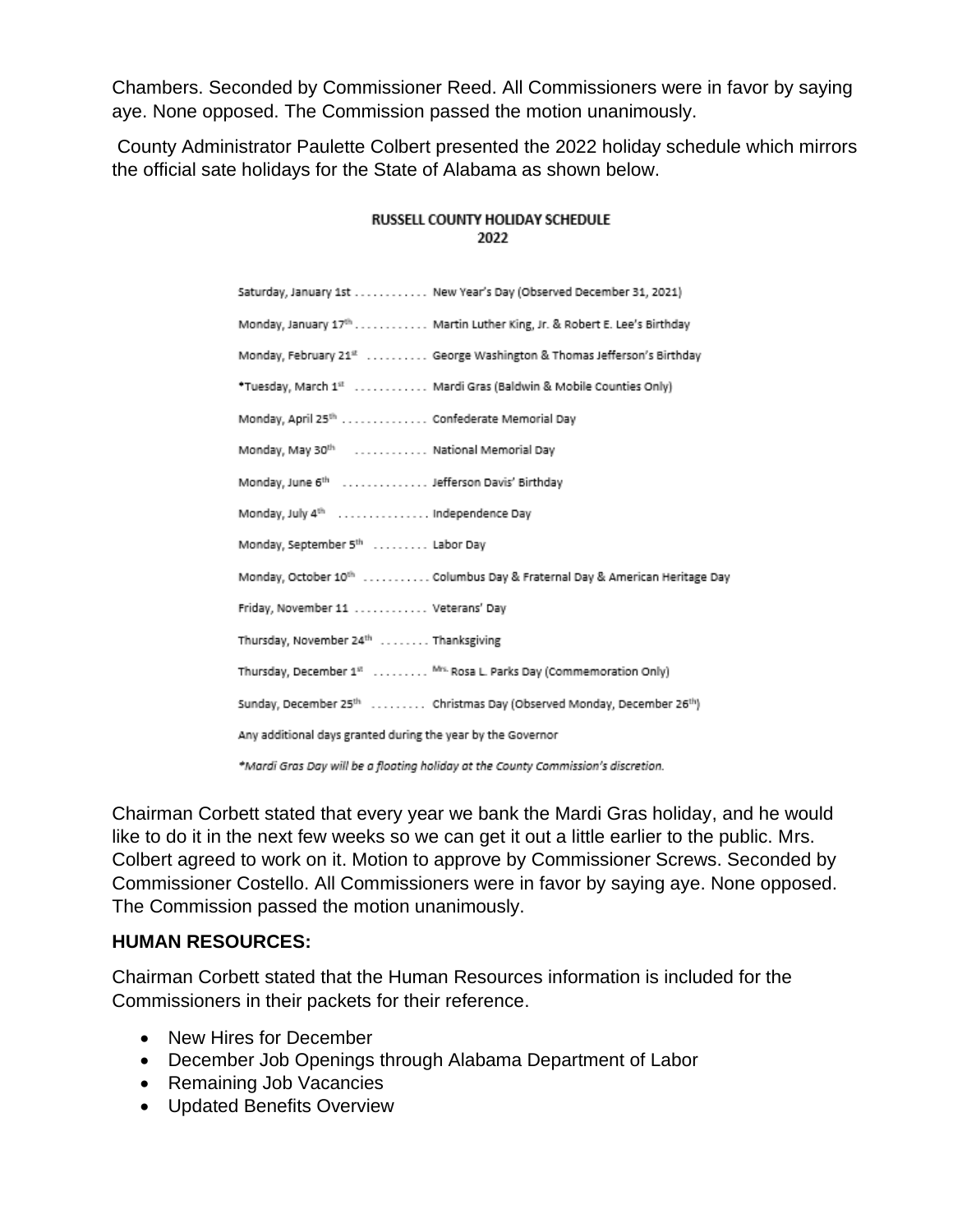Chambers. Seconded by Commissioner Reed. All Commissioners were in favor by saying aye. None opposed. The Commission passed the motion unanimously.

County Administrator Paulette Colbert presented the 2022 holiday schedule which mirrors the official sate holidays for the State of Alabama as shown below.

| Saturday, January 1st New Year's Day (Observed December 31, 2021)                             |
|-----------------------------------------------------------------------------------------------|
| Monday, January 17th Martin Luther King, Jr. & Robert E. Lee's Birthday                       |
| Monday, February 21 <sup>#</sup> George Washington & Thomas Jefferson's Birthday              |
| *Tuesday, March 1st  Mardi Gras (Baldwin & Mobile Counties Only)                              |
| Monday, April 25th  Confederate Memorial Day                                                  |
| Monday, May 30th  National Memorial Day                                                       |
| Monday, June 6 <sup>th</sup> Jefferson Davis' Birthday                                        |
| Monday, July 4th  Independence Day                                                            |
| Monday, September 5th  Labor Day                                                              |
| Monday, October 10 <sup>th</sup> Columbus Day & Fraternal Day & American Heritage Day         |
| Friday, November 11  Veterans' Day                                                            |
| Thursday, November 24th  Thanksgiving                                                         |
| Thursday, December 1st  Mrs. Rosa L. Parks Day (Commemoration Only)                           |
| Sunday, December 25 <sup>th</sup> Christmas Day (Observed Monday, December 26 <sup>th</sup> ) |
| Any additional days granted during the year by the Governor                                   |
| 85 Secoli Cana Part will be a flooding balislav at the Cattable Cananaiscimals discussion     |

#### RUSSELL COUNTY HOLIDAY SCHEDULE 2022

\*Mardi Gras Day will be a floating holiday at the County Commission's discretion.

Chairman Corbett stated that every year we bank the Mardi Gras holiday, and he would like to do it in the next few weeks so we can get it out a little earlier to the public. Mrs. Colbert agreed to work on it. Motion to approve by Commissioner Screws. Seconded by Commissioner Costello. All Commissioners were in favor by saying aye. None opposed. The Commission passed the motion unanimously.

## **HUMAN RESOURCES:**

Chairman Corbett stated that the Human Resources information is included for the Commissioners in their packets for their reference.

- New Hires for December
- December Job Openings through Alabama Department of Labor
- Remaining Job Vacancies
- Updated Benefits Overview